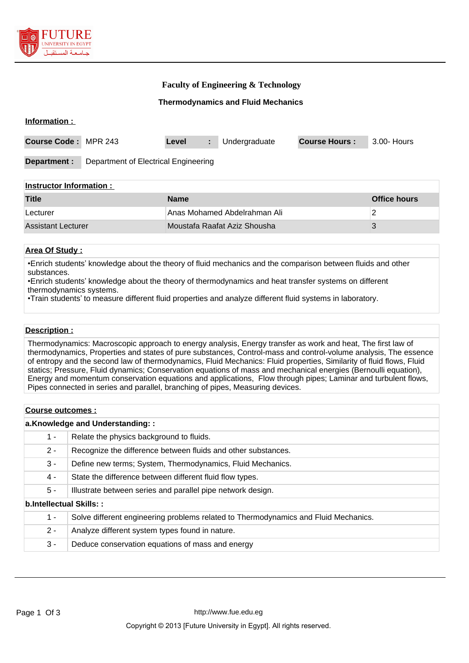

## **Faculty of Engineering & Technology**

### **Thermodynamics and Fluid Mechanics**

| Information :                   |                                      |       |   |               |                      |             |
|---------------------------------|--------------------------------------|-------|---|---------------|----------------------|-------------|
| Course Code: MPR 243            |                                      | Level | ÷ | Undergraduate | <b>Course Hours:</b> | 3.00- Hours |
| Department :                    | Department of Electrical Engineering |       |   |               |                      |             |
| <b>Instructor Information ·</b> |                                      |       |   |               |                      |             |

| <b>Title</b>       | <b>Name</b>                  | Office hours |  |  |
|--------------------|------------------------------|--------------|--|--|
| Lecturer           | Anas Mohamed Abdelrahman Ali |              |  |  |
| Assistant Lecturer | Moustafa Raafat Aziz Shousha |              |  |  |

## **Area Of Study :**

•Enrich students' knowledge about the theory of fluid mechanics and the comparison between fluids and other substances.

•Enrich students' knowledge about the theory of thermodynamics and heat transfer systems on different thermodynamics systems.

•Train students' to measure different fluid properties and analyze different fluid systems in laboratory.

#### **Description :**

Thermodynamics: Macroscopic approach to energy analysis, Energy transfer as work and heat, The first law of thermodynamics, Properties and states of pure substances, Control-mass and control-volume analysis, The essence of entropy and the second law of thermodynamics, Fluid Mechanics: Fluid properties, Similarity of fluid flows, Fluid statics; Pressure, Fluid dynamics; Conservation equations of mass and mechanical energies (Bernoulli equation), Energy and momentum conservation equations and applications, Flow through pipes; Laminar and turbulent flows, Pipes connected in series and parallel, branching of pipes, Measuring devices.

|                         | a.Knowledge and Understanding::                                                     |  |  |  |
|-------------------------|-------------------------------------------------------------------------------------|--|--|--|
| 1 -                     | Relate the physics background to fluids.                                            |  |  |  |
| $2 -$                   | Recognize the difference between fluids and other substances.                       |  |  |  |
| $3 -$                   | Define new terms; System, Thermodynamics, Fluid Mechanics.                          |  |  |  |
| $4 -$                   | State the difference between different fluid flow types.                            |  |  |  |
| $5 -$                   | Illustrate between series and parallel pipe network design.                         |  |  |  |
| b.Intellectual Skills:: |                                                                                     |  |  |  |
| $1 -$                   | Solve different engineering problems related to Thermodynamics and Fluid Mechanics. |  |  |  |
| $2 -$                   | Analyze different system types found in nature.                                     |  |  |  |
| $3 -$                   | Deduce conservation equations of mass and energy                                    |  |  |  |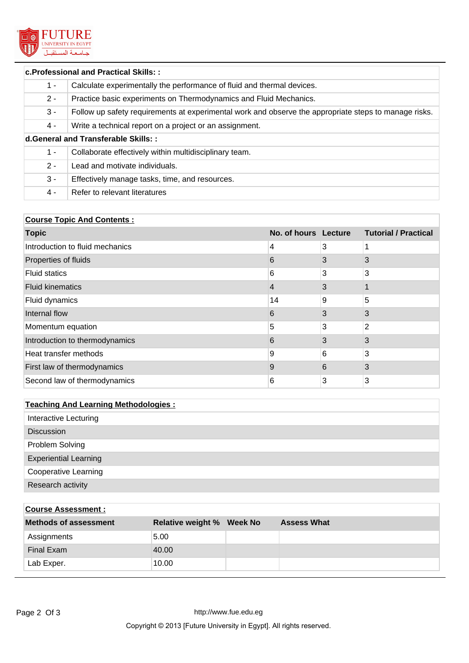

# **c.Professional and Practical Skills: :** 1 - Calculate experimentally the performance of fluid and thermal devices. 2 - Practice basic experiments on Thermodynamics and Fluid Mechanics. 3 - Follow up safety requirements at experimental work and observe the appropriate steps to manage risks. 4 - Write a technical report on a project or an assignment. **d.General and Transferable Skills: :** 1 - Collaborate effectively within multidisciplinary team. 2 - Lead and motivate individuals. 3 - Effectively manage tasks, time, and resources. 4 - Refer to relevant literatures

## **Course Topic And Contents :**

| <b>Topic</b>                    | No. of hours Lecture |   | <b>Tutorial / Practical</b> |
|---------------------------------|----------------------|---|-----------------------------|
| Introduction to fluid mechanics | 4                    | 3 |                             |
| Properties of fluids            | 6                    | 3 | 3                           |
| <b>Fluid statics</b>            | 6                    | 3 | 3                           |
| <b>Fluid kinematics</b>         | 4                    | 3 |                             |
| Fluid dynamics                  | 14                   | 9 | 5                           |
| Internal flow                   | 6                    | 3 | 3                           |
| Momentum equation               | 5                    | 3 | 2                           |
| Introduction to thermodynamics  | 6                    | 3 | 3                           |
| Heat transfer methods           | 9                    | 6 | 3                           |
| First law of thermodynamics     | 9                    | 6 | 3                           |
| Second law of thermodynamics    | 6                    | 3 | 3                           |

## **Teaching And Learning Methodologies :**

| Interactive Lecturing        |
|------------------------------|
| <b>Discussion</b>            |
| Problem Solving              |
| <b>Experiential Learning</b> |
| <b>Cooperative Learning</b>  |
| Research activity            |

| <b>Course Assessment:</b>    |                                  |  |                    |  |  |
|------------------------------|----------------------------------|--|--------------------|--|--|
| <b>Methods of assessment</b> | <b>Relative weight % Week No</b> |  | <b>Assess What</b> |  |  |
| Assignments                  | 5.00                             |  |                    |  |  |
| Final Exam                   | 40.00                            |  |                    |  |  |
| Lab Exper.                   | 10.00                            |  |                    |  |  |